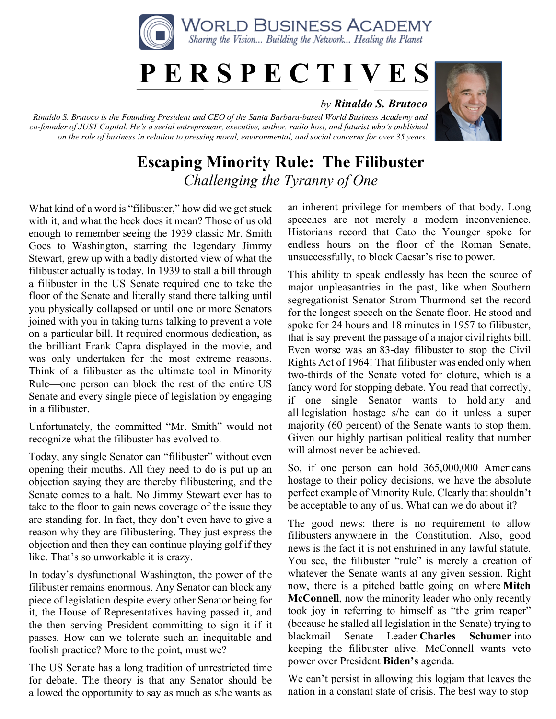

## **P E R S P E C T I V E S**

## *by Rinaldo S. Brutoco*

*Rinaldo S. Brutoco is the Founding President and CEO of the Santa Barbara-based World Business Academy and co-founder of JUST Capital. He's a serial entrepreneur, executive, author, radio host, and futurist who's published on the role of business in relation to pressing moral, environmental, and social concerns for over 35 years.*



## **Escaping Minority Rule: The Filibuster** *Challenging the Tyranny of One*

What kind of a word is "filibuster," how did we get stuck with it, and what the heck does it mean? Those of us old enough to remember seeing the 1939 classic Mr. Smith Goes to Washington, starring the legendary Jimmy Stewart, grew up with a badly distorted view of what the filibuster actually is today. In 1939 to stall a bill through a filibuster in the US Senate required one to take the floor of the Senate and literally stand there talking until you physically collapsed or until one or more Senators joined with you in taking turns talking to prevent a vote on a particular bill. It required enormous dedication, as the brilliant Frank Capra displayed in the movie, and was only undertaken for the most extreme reasons. Think of a filibuster as the ultimate tool in Minority Rule—one person can block the rest of the entire US Senate and every single piece of legislation by engaging in a filibuster.

Unfortunately, the committed "Mr. Smith" would not recognize what the filibuster has evolved to.

Today, any single Senator can "filibuster" without even opening their mouths. All they need to do is put up an objection saying they are thereby filibustering, and the Senate comes to a halt. No Jimmy Stewart ever has to take to the floor to gain news coverage of the issue they are standing for. In fact, they don't even have to give a reason why they are filibustering. They just express the objection and then they can continue playing golf if they like. That's so unworkable it is crazy.

In today's dysfunctional Washington, the power of the filibuster remains enormous. Any Senator can block any piece of legislation despite every other Senator being for it, the House of Representatives having passed it, and the then serving President committing to sign it if it passes. How can we tolerate such an inequitable and foolish practice? More to the point, must we?

The US Senate has a long tradition of unrestricted time for debate. The theory is that any Senator should be allowed the opportunity to say as much as s/he wants as

an inherent privilege for members of that body. Long speeches are not merely a modern inconvenience. Historians record that Cato the Younger spoke for endless hours on the floor of the Roman Senate, unsuccessfully, to block Caesar's rise to power.

This ability to speak endlessly has been the source of major unpleasantries in the past, like when Southern segregationist Senator Strom Thurmond set the record for the longest speech on the Senate floor. He stood and spoke for 24 hours and 18 minutes in 1957 to filibuster, that is say prevent the passage of a major civil rights bill. Even worse was an 83-day filibuster to stop the Civil Rights Act of 1964! That filibuster was ended only when two-thirds of the Senate voted for cloture, which is a fancy word for stopping debate. You read that correctly, if one single Senator wants to hold any and all legislation hostage s/he can do it unless a super majority (60 percent) of the Senate wants to stop them. Given our highly partisan political reality that number will almost never be achieved.

So, if one person can hold 365,000,000 Americans hostage to their policy decisions, we have the absolute perfect example of Minority Rule. Clearly that shouldn't be acceptable to any of us. What can we do about it?

The good news: there is no requirement to allow filibusters anywhere in the Constitution. Also, good news is the fact it is not enshrined in any lawful statute. You see, the filibuster "rule" is merely a creation of whatever the Senate wants at any given session. Right now, there is a pitched battle going on where **Mitch McConnell**, now the minority leader who only recently took joy in referring to himself as "the grim reaper" (because he stalled all legislation in the Senate) trying to blackmail Senate Leader **Charles Schumer** into keeping the filibuster alive. McConnell wants veto power over President **Biden's** agenda.

We can't persist in allowing this logjam that leaves the nation in a constant state of crisis. The best way to stop